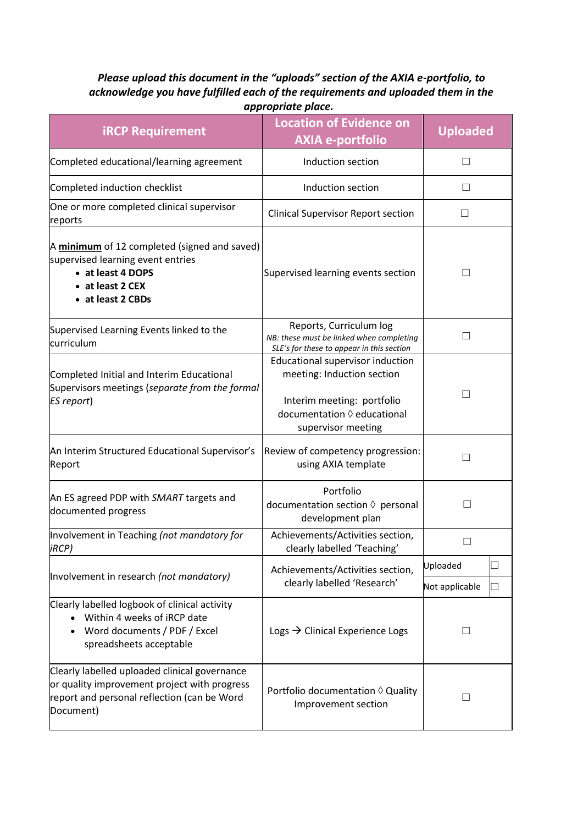## *Please upload this document in the "uploads" section of the AXIA e-portfolio, to acknowledge you have fulfilled each of the requirements and uploaded them in the appropriate place.*

| <b>iRCP Requirement</b>                                                                                                                                   | <b>Location of Evidence on</b><br><b>AXIA e-portfolio</b>                                                                                                  | <b>Uploaded</b> |
|-----------------------------------------------------------------------------------------------------------------------------------------------------------|------------------------------------------------------------------------------------------------------------------------------------------------------------|-----------------|
| Completed educational/learning agreement                                                                                                                  | Induction section                                                                                                                                          | $\perp$         |
| Completed induction checklist                                                                                                                             | Induction section                                                                                                                                          | $\Box$          |
| One or more completed clinical supervisor<br>reports                                                                                                      | <b>Clinical Supervisor Report section</b>                                                                                                                  | $\mathsf{L}$    |
| A minimum of 12 completed (signed and saved)<br>supervised learning event entries<br>• at least 4 DOPS<br>• at least 2 CEX<br>• at least 2 CBDs           | Supervised learning events section                                                                                                                         | $\Box$          |
| Supervised Learning Events linked to the<br>curriculum                                                                                                    | Reports, Curriculum log<br>NB: these must be linked when completing<br>SLE's for these to appear in this section                                           | □               |
| Completed Initial and Interim Educational<br>Supervisors meetings (separate from the formal<br><b>ES report)</b>                                          | Educational supervisor induction<br>meeting: Induction section<br>Interim meeting: portfolio<br>documentation $\Diamond$ educational<br>supervisor meeting | $\Box$          |
| An Interim Structured Educational Supervisor's<br>Report                                                                                                  | Review of competency progression:<br>using AXIA template                                                                                                   | П               |
| An ES agreed PDP with SMART targets and<br>documented progress                                                                                            | Portfolio<br>documentation section $\Diamond$ personal<br>development plan                                                                                 | $\mathsf{L}$    |
| Involvement in Teaching (not mandatory for<br><i>iRCP</i> )                                                                                               | Achievements/Activities section,<br>clearly labelled 'Teaching'                                                                                            | $\Box$          |
| Involvement in research (not mandatory)                                                                                                                   | Achievements/Activities section,<br>clearly labelled 'Research'                                                                                            | Uploaded        |
|                                                                                                                                                           |                                                                                                                                                            | Not applicable  |
| Clearly labelled logbook of clinical activity<br>Within 4 weeks of iRCP date<br>Word documents / PDF / Excel<br>spreadsheets acceptable                   | Logs $\rightarrow$ Clinical Experience Logs                                                                                                                | $\Box$          |
| Clearly labelled uploaded clinical governance<br>or quality improvement project with progress<br>report and personal reflection (can be Word<br>Document) | Portfolio documentation ♦ Quality<br>Improvement section                                                                                                   | $\Box$          |